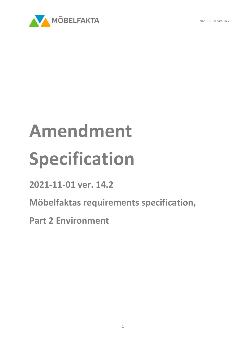

## **Amendment Specification**

**2021-11-01 ver. 14.2**

**Möbelfaktas requirements specification,** 

**Part 2 Environment**